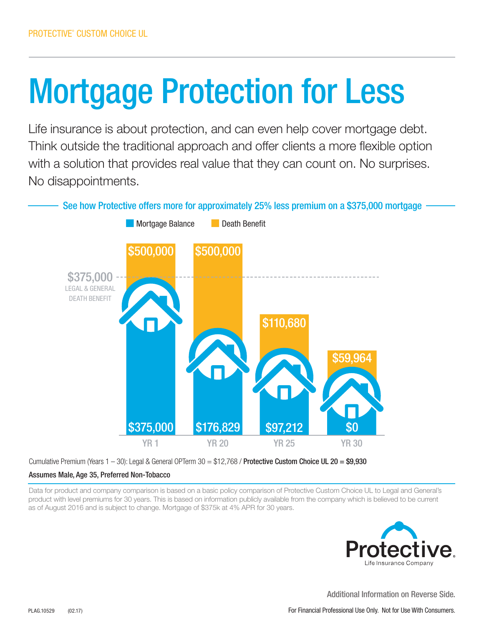## Mortgage Protection for Less

Life insurance is about protection, and can even help cover mortgage debt. Think outside the traditional approach and offer clients a more flexible option with a solution that provides real value that they can count on. No surprises. No disappointments.



Cumulative Premium (Years  $1 - 30$ ): Legal & General OPTerm  $30 = $12,768$  / Protective Custom Choice UL 20 = \$9,930

## Assumes Male, Age 35, Preferred Non-Tobacco

Data for product and company comparison is based on a basic policy comparison of Protective Custom Choice UL to Legal and General's product with level premiums for 30 years. This is based on information publicly available from the company which is believed to be current as of August 2016 and is subject to change. Mortgage of \$375k at 4% APR for 30 years.



Additional Information on Reverse Side.